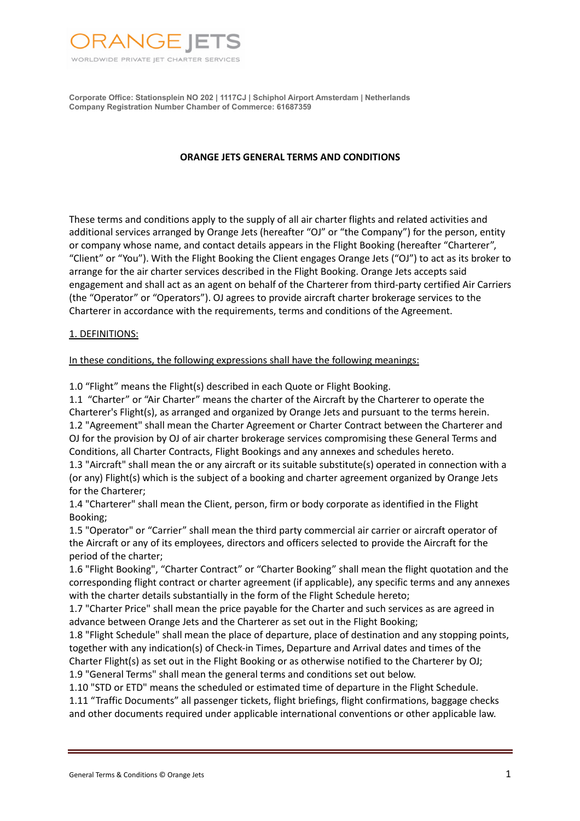

#### **ORANGE JETS GENERAL TERMS AND CONDITIONS**

These terms and conditions apply to the supply of all air charter flights and related activities and additional services arranged by Orange Jets (hereafter "OJ" or "the Company") for the person, entity or company whose name, and contact details appears in the Flight Booking (hereafter "Charterer", "Client" or "You"). With the Flight Booking the Client engages Orange Jets ("OJ") to act as its broker to arrange for the air charter services described in the Flight Booking. Orange Jets accepts said engagement and shall act as an agent on behalf of the Charterer from third-party certified Air Carriers (the "Operator" or "Operators"). OJ agrees to provide aircraft charter brokerage services to the Charterer in accordance with the requirements, terms and conditions of the Agreement.

#### 1. DEFINITIONS:

#### In these conditions, the following expressions shall have the following meanings:

1.0 "Flight" means the Flight(s) described in each Quote or Flight Booking.

1.1 "Charter" or "Air Charter" means the charter of the Aircraft by the Charterer to operate the Charterer's Flight(s), as arranged and organized by Orange Jets and pursuant to the terms herein. 1.2 "Agreement" shall mean the Charter Agreement or Charter Contract between the Charterer and OJ for the provision by OJ of air charter brokerage services compromising these General Terms and Conditions, all Charter Contracts, Flight Bookings and any annexes and schedules hereto.

1.3 "Aircraft" shall mean the or any aircraft or its suitable substitute(s) operated in connection with a (or any) Flight(s) which is the subject of a booking and charter agreement organized by Orange Jets for the Charterer;

1.4 "Charterer" shall mean the Client, person, firm or body corporate as identified in the Flight Booking;

1.5 "Operator" or "Carrier" shall mean the third party commercial air carrier or aircraft operator of the Aircraft or any of its employees, directors and officers selected to provide the Aircraft for the period of the charter;

1.6 "Flight Booking", "Charter Contract" or "Charter Booking" shall mean the flight quotation and the corresponding flight contract or charter agreement (if applicable), any specific terms and any annexes with the charter details substantially in the form of the Flight Schedule hereto;

1.7 "Charter Price" shall mean the price payable for the Charter and such services as are agreed in advance between Orange Jets and the Charterer as set out in the Flight Booking;

1.8 "Flight Schedule" shall mean the place of departure, place of destination and any stopping points, together with any indication(s) of Check-in Times, Departure and Arrival dates and times of the Charter Flight(s) as set out in the Flight Booking or as otherwise notified to the Charterer by OJ;

1.9 "General Terms" shall mean the general terms and conditions set out below.

1.10 "STD or ETD" means the scheduled or estimated time of departure in the Flight Schedule.

1.11 "Traffic Documents" all passenger tickets, flight briefings, flight confirmations, baggage checks and other documents required under applicable international conventions or other applicable law.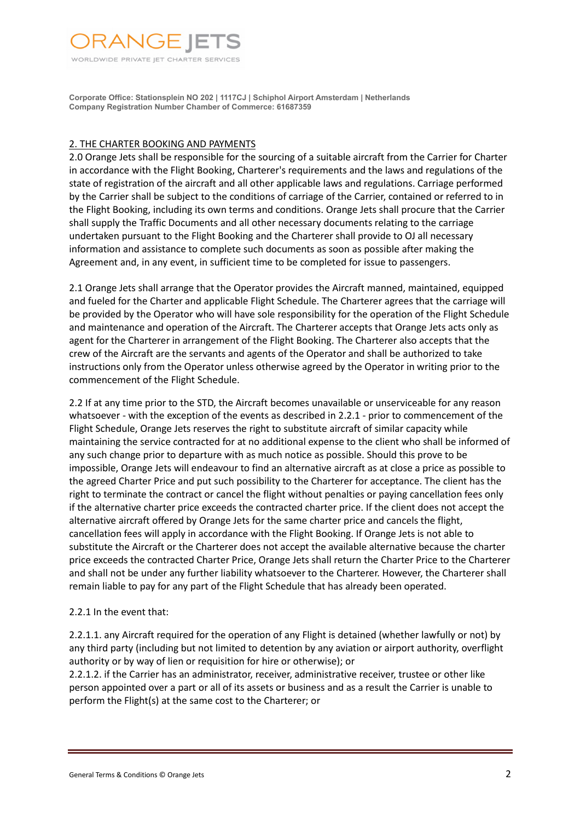

# 2. THE CHARTER BOOKING AND PAYMENTS

2.0 Orange Jets shall be responsible for the sourcing of a suitable aircraft from the Carrier for Charter in accordance with the Flight Booking, Charterer's requirements and the laws and regulations of the state of registration of the aircraft and all other applicable laws and regulations. Carriage performed by the Carrier shall be subject to the conditions of carriage of the Carrier, contained or referred to in the Flight Booking, including its own terms and conditions. Orange Jets shall procure that the Carrier shall supply the Traffic Documents and all other necessary documents relating to the carriage undertaken pursuant to the Flight Booking and the Charterer shall provide to OJ all necessary information and assistance to complete such documents as soon as possible after making the Agreement and, in any event, in sufficient time to be completed for issue to passengers.

2.1 Orange Jets shall arrange that the Operator provides the Aircraft manned, maintained, equipped and fueled for the Charter and applicable Flight Schedule. The Charterer agrees that the carriage will be provided by the Operator who will have sole responsibility for the operation of the Flight Schedule and maintenance and operation of the Aircraft. The Charterer accepts that Orange Jets acts only as agent for the Charterer in arrangement of the Flight Booking. The Charterer also accepts that the crew of the Aircraft are the servants and agents of the Operator and shall be authorized to take instructions only from the Operator unless otherwise agreed by the Operator in writing prior to the commencement of the Flight Schedule.

2.2 If at any time prior to the STD, the Aircraft becomes unavailable or unserviceable for any reason whatsoever - with the exception of the events as described in 2.2.1 - prior to commencement of the Flight Schedule, Orange Jets reserves the right to substitute aircraft of similar capacity while maintaining the service contracted for at no additional expense to the client who shall be informed of any such change prior to departure with as much notice as possible. Should this prove to be impossible, Orange Jets will endeavour to find an alternative aircraft as at close a price as possible to the agreed Charter Price and put such possibility to the Charterer for acceptance. The client has the right to terminate the contract or cancel the flight without penalties or paying cancellation fees only if the alternative charter price exceeds the contracted charter price. If the client does not accept the alternative aircraft offered by Orange Jets for the same charter price and cancels the flight, cancellation fees will apply in accordance with the Flight Booking. If Orange Jets is not able to substitute the Aircraft or the Charterer does not accept the available alternative because the charter price exceeds the contracted Charter Price, Orange Jets shall return the Charter Price to the Charterer and shall not be under any further liability whatsoever to the Charterer. However, the Charterer shall remain liable to pay for any part of the Flight Schedule that has already been operated.

### 2.2.1 In the event that:

2.2.1.1. any Aircraft required for the operation of any Flight is detained (whether lawfully or not) by any third party (including but not limited to detention by any aviation or airport authority, overflight authority or by way of lien or requisition for hire or otherwise); or

2.2.1.2. if the Carrier has an administrator, receiver, administrative receiver, trustee or other like person appointed over a part or all of its assets or business and as a result the Carrier is unable to perform the Flight(s) at the same cost to the Charterer; or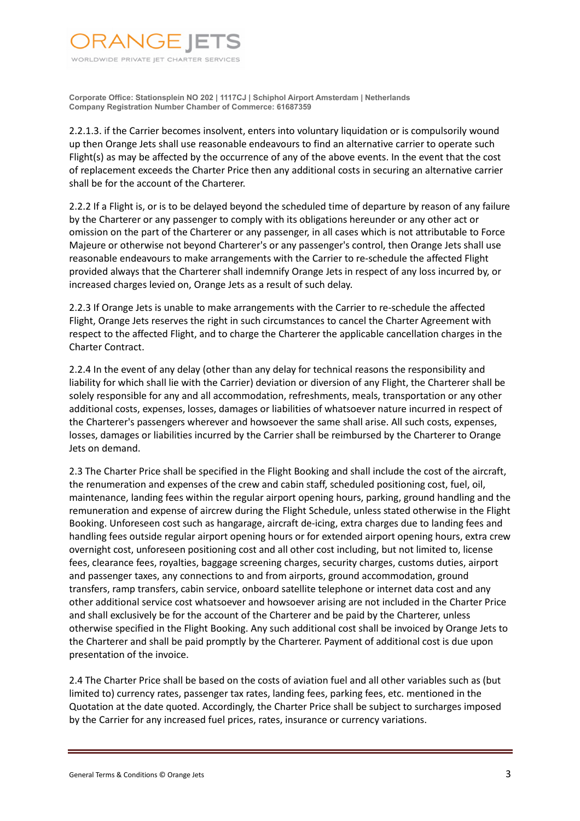

2.2.1.3. if the Carrier becomes insolvent, enters into voluntary liquidation or is compulsorily wound up then Orange Jets shall use reasonable endeavours to find an alternative carrier to operate such Flight(s) as may be affected by the occurrence of any of the above events. In the event that the cost of replacement exceeds the Charter Price then any additional costs in securing an alternative carrier shall be for the account of the Charterer.

2.2.2 If a Flight is, or is to be delayed beyond the scheduled time of departure by reason of any failure by the Charterer or any passenger to comply with its obligations hereunder or any other act or omission on the part of the Charterer or any passenger, in all cases which is not attributable to Force Majeure or otherwise not beyond Charterer's or any passenger's control, then Orange Jets shall use reasonable endeavours to make arrangements with the Carrier to re-schedule the affected Flight provided always that the Charterer shall indemnify Orange Jets in respect of any loss incurred by, or increased charges levied on, Orange Jets as a result of such delay.

2.2.3 If Orange Jets is unable to make arrangements with the Carrier to re-schedule the affected Flight, Orange Jets reserves the right in such circumstances to cancel the Charter Agreement with respect to the affected Flight, and to charge the Charterer the applicable cancellation charges in the Charter Contract.

2.2.4 In the event of any delay (other than any delay for technical reasons the responsibility and liability for which shall lie with the Carrier) deviation or diversion of any Flight, the Charterer shall be solely responsible for any and all accommodation, refreshments, meals, transportation or any other additional costs, expenses, losses, damages or liabilities of whatsoever nature incurred in respect of the Charterer's passengers wherever and howsoever the same shall arise. All such costs, expenses, losses, damages or liabilities incurred by the Carrier shall be reimbursed by the Charterer to Orange Jets on demand.

2.3 The Charter Price shall be specified in the Flight Booking and shall include the cost of the aircraft, the renumeration and expenses of the crew and cabin staff, scheduled positioning cost, fuel, oil, maintenance, landing fees within the regular airport opening hours, parking, ground handling and the remuneration and expense of aircrew during the Flight Schedule, unless stated otherwise in the Flight Booking. Unforeseen cost such as hangarage, aircraft de-icing, extra charges due to landing fees and handling fees outside regular airport opening hours or for extended airport opening hours, extra crew overnight cost, unforeseen positioning cost and all other cost including, but not limited to, license fees, clearance fees, royalties, baggage screening charges, security charges, customs duties, airport and passenger taxes, any connections to and from airports, ground accommodation, ground transfers, ramp transfers, cabin service, onboard satellite telephone or internet data cost and any other additional service cost whatsoever and howsoever arising are not included in the Charter Price and shall exclusively be for the account of the Charterer and be paid by the Charterer, unless otherwise specified in the Flight Booking. Any such additional cost shall be invoiced by Orange Jets to the Charterer and shall be paid promptly by the Charterer. Payment of additional cost is due upon presentation of the invoice.

2.4 The Charter Price shall be based on the costs of aviation fuel and all other variables such as (but limited to) currency rates, passenger tax rates, landing fees, parking fees, etc. mentioned in the Quotation at the date quoted. Accordingly, the Charter Price shall be subject to surcharges imposed by the Carrier for any increased fuel prices, rates, insurance or currency variations.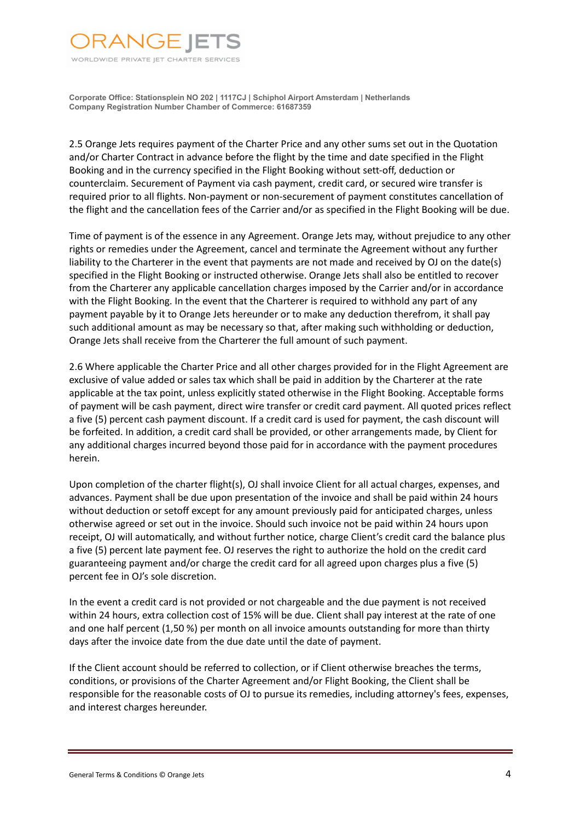

2.5 Orange Jets requires payment of the Charter Price and any other sums set out in the Quotation and/or Charter Contract in advance before the flight by the time and date specified in the Flight Booking and in the currency specified in the Flight Booking without sett-off, deduction or counterclaim. Securement of Payment via cash payment, credit card, or secured wire transfer is required prior to all flights. Non-payment or non-securement of payment constitutes cancellation of the flight and the cancellation fees of the Carrier and/or as specified in the Flight Booking will be due.

Time of payment is of the essence in any Agreement. Orange Jets may, without prejudice to any other rights or remedies under the Agreement, cancel and terminate the Agreement without any further liability to the Charterer in the event that payments are not made and received by OJ on the date(s) specified in the Flight Booking or instructed otherwise. Orange Jets shall also be entitled to recover from the Charterer any applicable cancellation charges imposed by the Carrier and/or in accordance with the Flight Booking. In the event that the Charterer is required to withhold any part of any payment payable by it to Orange Jets hereunder or to make any deduction therefrom, it shall pay such additional amount as may be necessary so that, after making such withholding or deduction, Orange Jets shall receive from the Charterer the full amount of such payment.

2.6 Where applicable the Charter Price and all other charges provided for in the Flight Agreement are exclusive of value added or sales tax which shall be paid in addition by the Charterer at the rate applicable at the tax point, unless explicitly stated otherwise in the Flight Booking. Acceptable forms of payment will be cash payment, direct wire transfer or credit card payment. All quoted prices reflect a five (5) percent cash payment discount. If a credit card is used for payment, the cash discount will be forfeited. In addition, a credit card shall be provided, or other arrangements made, by Client for any additional charges incurred beyond those paid for in accordance with the payment procedures herein.

Upon completion of the charter flight(s), OJ shall invoice Client for all actual charges, expenses, and advances. Payment shall be due upon presentation of the invoice and shall be paid within 24 hours without deduction or setoff except for any amount previously paid for anticipated charges, unless otherwise agreed or set out in the invoice. Should such invoice not be paid within 24 hours upon receipt, OJ will automatically, and without further notice, charge Client's credit card the balance plus a five (5) percent late payment fee. OJ reserves the right to authorize the hold on the credit card guaranteeing payment and/or charge the credit card for all agreed upon charges plus a five (5) percent fee in OJ's sole discretion.

In the event a credit card is not provided or not chargeable and the due payment is not received within 24 hours, extra collection cost of 15% will be due. Client shall pay interest at the rate of one and one half percent (1,50 %) per month on all invoice amounts outstanding for more than thirty days after the invoice date from the due date until the date of payment.

If the Client account should be referred to collection, or if Client otherwise breaches the terms, conditions, or provisions of the Charter Agreement and/or Flight Booking, the Client shall be responsible for the reasonable costs of OJ to pursue its remedies, including attorney's fees, expenses, and interest charges hereunder.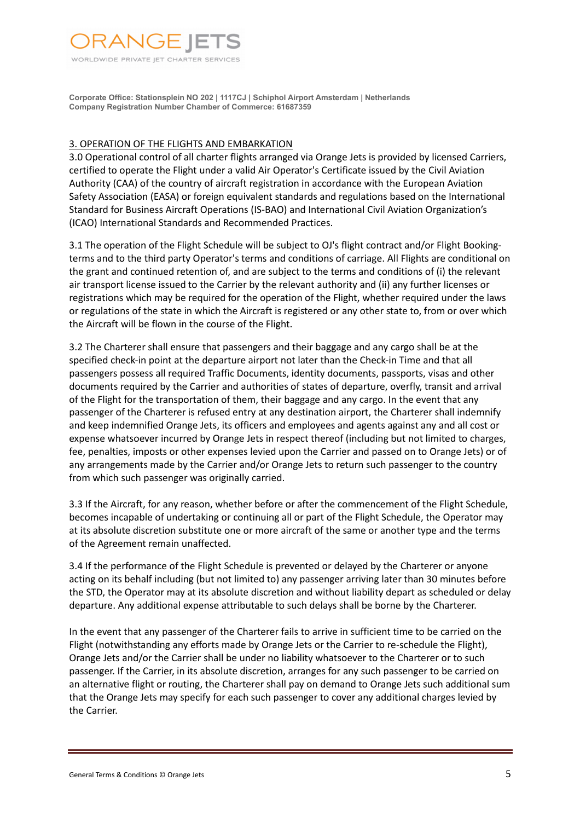

## 3. OPERATION OF THE FLIGHTS AND EMBARKATION

3.0 Operational control of all charter flights arranged via Orange Jets is provided by licensed Carriers, certified to operate the Flight under a valid Air Operator's Certificate issued by the Civil Aviation Authority (CAA) of the country of aircraft registration in accordance with the European Aviation Safety Association (EASA) or foreign equivalent standards and regulations based on the International Standard for Business Aircraft Operations (IS-BAO) and International Civil Aviation Organization's (ICAO) International Standards and Recommended Practices.

3.1 The operation of the Flight Schedule will be subject to OJ's flight contract and/or Flight Bookingterms and to the third party Operator's terms and conditions of carriage. All Flights are conditional on the grant and continued retention of, and are subject to the terms and conditions of (i) the relevant air transport license issued to the Carrier by the relevant authority and (ii) any further licenses or registrations which may be required for the operation of the Flight, whether required under the laws or regulations of the state in which the Aircraft is registered or any other state to, from or over which the Aircraft will be flown in the course of the Flight.

3.2 The Charterer shall ensure that passengers and their baggage and any cargo shall be at the specified check-in point at the departure airport not later than the Check-in Time and that all passengers possess all required Traffic Documents, identity documents, passports, visas and other documents required by the Carrier and authorities of states of departure, overfly, transit and arrival of the Flight for the transportation of them, their baggage and any cargo. In the event that any passenger of the Charterer is refused entry at any destination airport, the Charterer shall indemnify and keep indemnified Orange Jets, its officers and employees and agents against any and all cost or expense whatsoever incurred by Orange Jets in respect thereof (including but not limited to charges, fee, penalties, imposts or other expenses levied upon the Carrier and passed on to Orange Jets) or of any arrangements made by the Carrier and/or Orange Jets to return such passenger to the country from which such passenger was originally carried.

3.3 If the Aircraft, for any reason, whether before or after the commencement of the Flight Schedule, becomes incapable of undertaking or continuing all or part of the Flight Schedule, the Operator may at its absolute discretion substitute one or more aircraft of the same or another type and the terms of the Agreement remain unaffected.

3.4 If the performance of the Flight Schedule is prevented or delayed by the Charterer or anyone acting on its behalf including (but not limited to) any passenger arriving later than 30 minutes before the STD, the Operator may at its absolute discretion and without liability depart as scheduled or delay departure. Any additional expense attributable to such delays shall be borne by the Charterer.

In the event that any passenger of the Charterer fails to arrive in sufficient time to be carried on the Flight (notwithstanding any efforts made by Orange Jets or the Carrier to re-schedule the Flight), Orange Jets and/or the Carrier shall be under no liability whatsoever to the Charterer or to such passenger. If the Carrier, in its absolute discretion, arranges for any such passenger to be carried on an alternative flight or routing, the Charterer shall pay on demand to Orange Jets such additional sum that the Orange Jets may specify for each such passenger to cover any additional charges levied by the Carrier.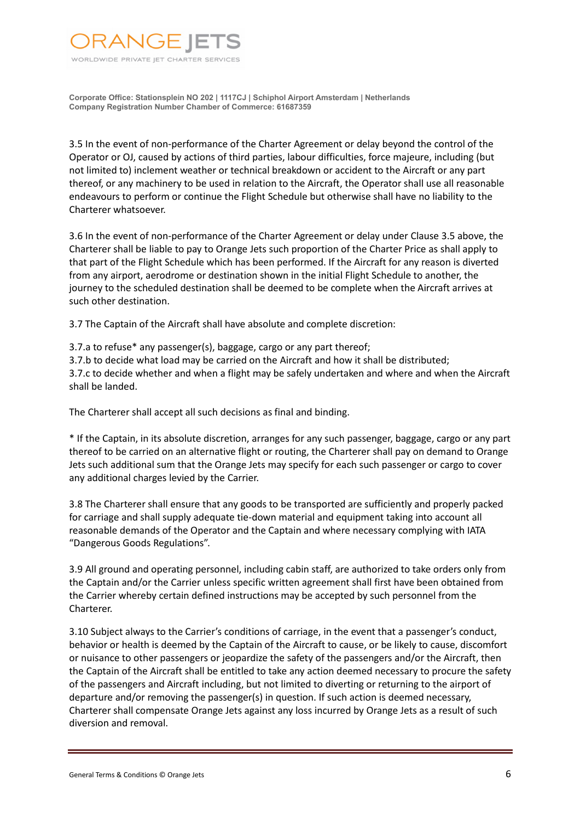

3.5 In the event of non-performance of the Charter Agreement or delay beyond the control of the Operator or OJ, caused by actions of third parties, labour difficulties, force majeure, including (but not limited to) inclement weather or technical breakdown or accident to the Aircraft or any part thereof, or any machinery to be used in relation to the Aircraft, the Operator shall use all reasonable endeavours to perform or continue the Flight Schedule but otherwise shall have no liability to the Charterer whatsoever.

3.6 In the event of non-performance of the Charter Agreement or delay under Clause 3.5 above, the Charterer shall be liable to pay to Orange Jets such proportion of the Charter Price as shall apply to that part of the Flight Schedule which has been performed. If the Aircraft for any reason is diverted from any airport, aerodrome or destination shown in the initial Flight Schedule to another, the journey to the scheduled destination shall be deemed to be complete when the Aircraft arrives at such other destination.

3.7 The Captain of the Aircraft shall have absolute and complete discretion:

3.7.a to refuse\* any passenger(s), baggage, cargo or any part thereof;

3.7.b to decide what load may be carried on the Aircraft and how it shall be distributed; 3.7.c to decide whether and when a flight may be safely undertaken and where and when the Aircraft shall be landed.

The Charterer shall accept all such decisions as final and binding.

\* If the Captain, in its absolute discretion, arranges for any such passenger, baggage, cargo or any part thereof to be carried on an alternative flight or routing, the Charterer shall pay on demand to Orange Jets such additional sum that the Orange Jets may specify for each such passenger or cargo to cover any additional charges levied by the Carrier.

3.8 The Charterer shall ensure that any goods to be transported are sufficiently and properly packed for carriage and shall supply adequate tie-down material and equipment taking into account all reasonable demands of the Operator and the Captain and where necessary complying with IATA "Dangerous Goods Regulations".

3.9 All ground and operating personnel, including cabin staff, are authorized to take orders only from the Captain and/or the Carrier unless specific written agreement shall first have been obtained from the Carrier whereby certain defined instructions may be accepted by such personnel from the Charterer.

3.10 Subject always to the Carrier's conditions of carriage, in the event that a passenger's conduct, behavior or health is deemed by the Captain of the Aircraft to cause, or be likely to cause, discomfort or nuisance to other passengers or jeopardize the safety of the passengers and/or the Aircraft, then the Captain of the Aircraft shall be entitled to take any action deemed necessary to procure the safety of the passengers and Aircraft including, but not limited to diverting or returning to the airport of departure and/or removing the passenger(s) in question. If such action is deemed necessary, Charterer shall compensate Orange Jets against any loss incurred by Orange Jets as a result of such diversion and removal.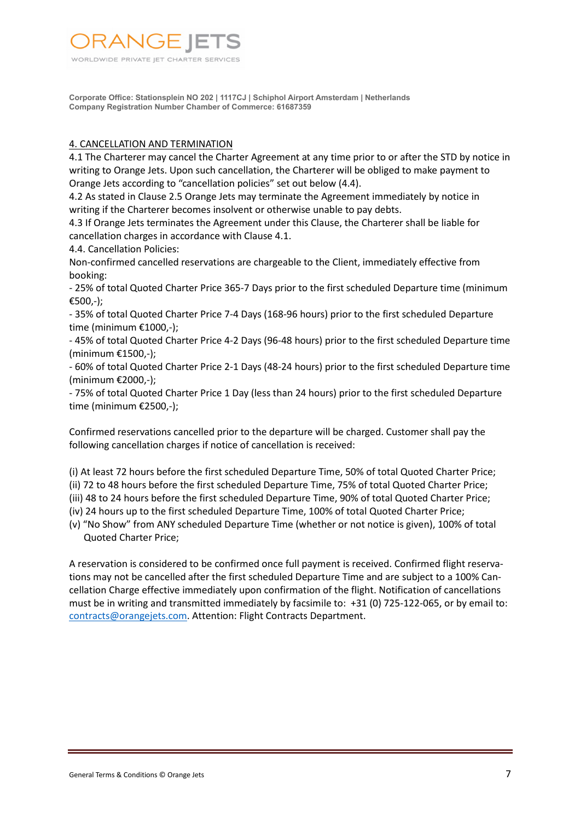

# 4. CANCELLATION AND TERMINATION

4.1 The Charterer may cancel the Charter Agreement at any time prior to or after the STD by notice in writing to Orange Jets. Upon such cancellation, the Charterer will be obliged to make payment to Orange Jets according to "cancellation policies" set out below (4.4).

4.2 As stated in Clause 2.5 Orange Jets may terminate the Agreement immediately by notice in writing if the Charterer becomes insolvent or otherwise unable to pay debts.

4.3 If Orange Jets terminates the Agreement under this Clause, the Charterer shall be liable for cancellation charges in accordance with Clause 4.1.

4.4. Cancellation Policies:

Non-confirmed cancelled reservations are chargeable to the Client, immediately effective from booking:

- 25% of total Quoted Charter Price 365-7 Days prior to the first scheduled Departure time (minimum €500,-);

- 35% of total Quoted Charter Price 7-4 Days (168-96 hours) prior to the first scheduled Departure time (minimum €1000,-);

- 45% of total Quoted Charter Price 4-2 Days (96-48 hours) prior to the first scheduled Departure time (minimum €1500,-);

- 60% of total Quoted Charter Price 2-1 Days (48-24 hours) prior to the first scheduled Departure time (minimum €2000,-);

- 75% of total Quoted Charter Price 1 Day (less than 24 hours) prior to the first scheduled Departure time (minimum €2500,-);

Confirmed reservations cancelled prior to the departure will be charged. Customer shall pay the following cancellation charges if notice of cancellation is received:

(i) At least 72 hours before the first scheduled Departure Time, 50% of total Quoted Charter Price;

(ii) 72 to 48 hours before the first scheduled Departure Time, 75% of total Quoted Charter Price;

(iii) 48 to 24 hours before the first scheduled Departure Time, 90% of total Quoted Charter Price;

(iv) 24 hours up to the first scheduled Departure Time, 100% of total Quoted Charter Price;

(v) "No Show" from ANY scheduled Departure Time (whether or not notice is given), 100% of total Quoted Charter Price;

A reservation is considered to be confirmed once full payment is received. Confirmed flight reservations may not be cancelled after the first scheduled Departure Time and are subject to a 100% Cancellation Charge effective immediately upon confirmation of the flight. Notification of cancellations must be in writing and transmitted immediately by facsimile to: +31 (0) 725-122-065, or by email to: contracts@orangejets.com. Attention: Flight Contracts Department.